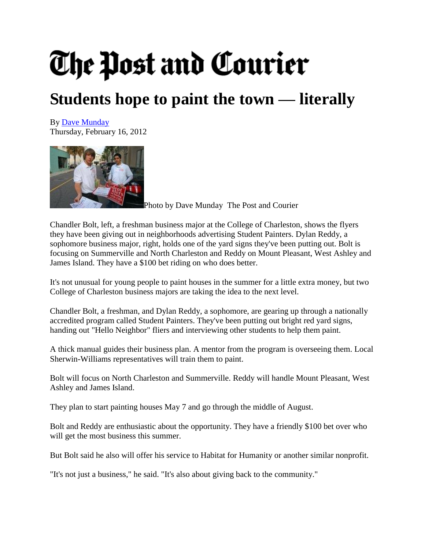## The Post and Courier

## **Students hope to paint the town — literally**

By [Dave Munday](http://www.postandcourier.com/staff/dave_munday/) Thursday, February 16, 2012



[P](http://www.postandcourier.com/photos/2012/feb/15/101987/)hoto by Dave Munday The Post and Courier

Chandler Bolt, left, a freshman business major at the College of Charleston, shows the flyers they have been giving out in neighborhoods advertising Student Painters. Dylan Reddy, a sophomore business major, right, holds one of the yard signs they've been putting out. Bolt is focusing on Summerville and North Charleston and Reddy on Mount Pleasant, West Ashley and James Island. They have a \$100 bet riding on who does better.

It's not unusual for young people to paint houses in the summer for a little extra money, but two College of Charleston business majors are taking the idea to the next level.

Chandler Bolt, a freshman, and Dylan Reddy, a sophomore, are gearing up through a nationally accredited program called Student Painters. They've been putting out bright red yard signs, handing out "Hello Neighbor" fliers and interviewing other students to help them paint.

A thick manual guides their business plan. A mentor from the program is overseeing them. Local Sherwin-Williams representatives will train them to paint.

Bolt will focus on North Charleston and Summerville. Reddy will handle Mount Pleasant, West Ashley and James Island.

They plan to start painting houses May 7 and go through the middle of August.

Bolt and Reddy are enthusiastic about the opportunity. They have a friendly \$100 bet over who will get the most business this summer.

But Bolt said he also will offer his service to Habitat for Humanity or another similar nonprofit.

"It's not just a business," he said. "It's also about giving back to the community."